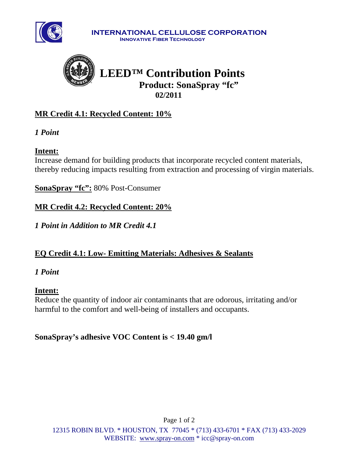

**INTERNATIONAL CELLULOSE CORPORATION Innovative Fiber Technology**



# **MR Credit 4.1: Recycled Content: 10%**

*1 Point* 

# **Intent:**

Increase demand for building products that incorporate recycled content materials, thereby reducing impacts resulting from extraction and processing of virgin materials.

**SonaSpray "fc":** 80% Post-Consumer

**MR Credit 4.2: Recycled Content: 20%**

*1 Point in Addition to MR Credit 4.1* 

# **EQ Credit 4.1: Low- Emitting Materials: Adhesives & Sealants**

## *1 Point*

## **Intent:**

Reduce the quantity of indoor air contaminants that are odorous, irritating and/or harmful to the comfort and well-being of installers and occupants.

**SonaSpray's adhesive VOC Content is < 19.40 gm/l**